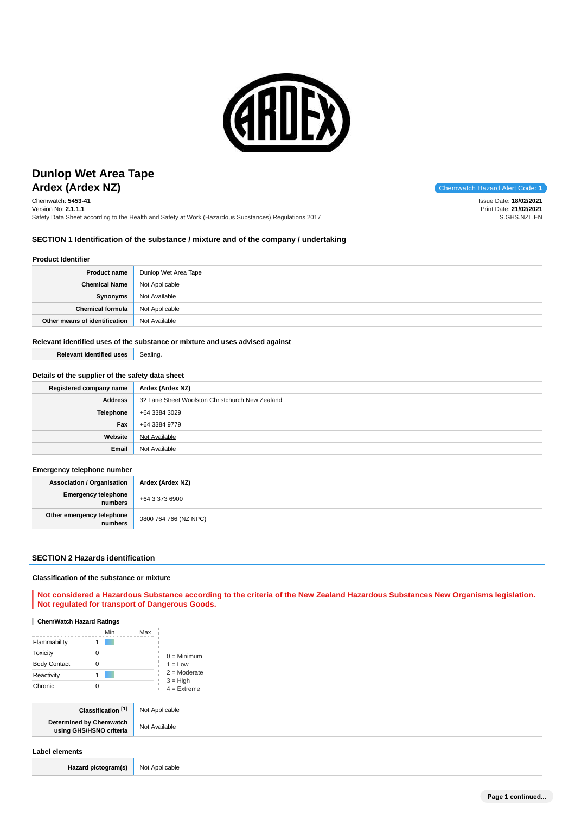

# **Ardex (Ardex NZ)** Chemwatch Hazard Alert Code: 1 **Dunlop Wet Area Tape**

Chemwatch: **5453-41** Version No: **2.1.1.1** Safety Data Sheet according to the Health and Safety at Work (Hazardous Substances) Regulations 2017

Issue Date: **18/02/2021** Print Date: **21/02/2021** S.GHS.NZL.EN

## **SECTION 1 Identification of the substance / mixture and of the company / undertaking**

## **Product Identifier**

| <b>Product name</b>           | Dunlop Wet Area Tape |
|-------------------------------|----------------------|
| <b>Chemical Name</b>          | Not Applicable       |
| Synonyms                      | Not Available        |
| Chemical formula              | Not Applicable       |
| Other means of identification | Not Available        |

### **Relevant identified uses of the substance or mixture and uses advised against**

**Relevant identified uses** Sealing.

## **Details of the supplier of the safety data sheet**

| Registered company name | Ardex (Ardex NZ)                                 |
|-------------------------|--------------------------------------------------|
| <b>Address</b>          | 32 Lane Street Woolston Christchurch New Zealand |
| <b>Telephone</b>        | +64 3384 3029                                    |
| Fax                     | +64 3384 9779                                    |
| Website                 | Not Available                                    |
| Email                   | Not Available                                    |

## **Emergency telephone number**

| <b>Association / Organisation</b>    | Ardex (Ardex NZ)      |
|--------------------------------------|-----------------------|
| Emergency telephone<br>numbers       | +64 3 373 6900        |
| Other emergency telephone<br>numbers | 0800 764 766 (NZ NPC) |

## **SECTION 2 Hazards identification**

### **Classification of the substance or mixture**

## **Not considered a Hazardous Substance according to the criteria of the New Zealand Hazardous Substances New Organisms legislation. Not regulated for transport of Dangerous Goods.**

## **ChemWatch Hazard Ratings**

|                     | Min | Max |                             |
|---------------------|-----|-----|-----------------------------|
| Flammability        |     |     |                             |
| <b>Toxicity</b>     |     |     | $0 =$ Minimum               |
| <b>Body Contact</b> |     |     | $1 = Low$                   |
| Reactivity          |     |     | $2 =$ Moderate              |
| Chronic             |     |     | $3 = High$<br>$4 =$ Extreme |

| <b>F41</b><br>Classification                              | Not<br>plicable |
|-----------------------------------------------------------|-----------------|
| <b>Determined by Chemwatch</b><br>using GHS/HSNO criteria | Not Available   |
|                                                           |                 |

### **Label elements**

Hazard pictogram(s) Not Applicable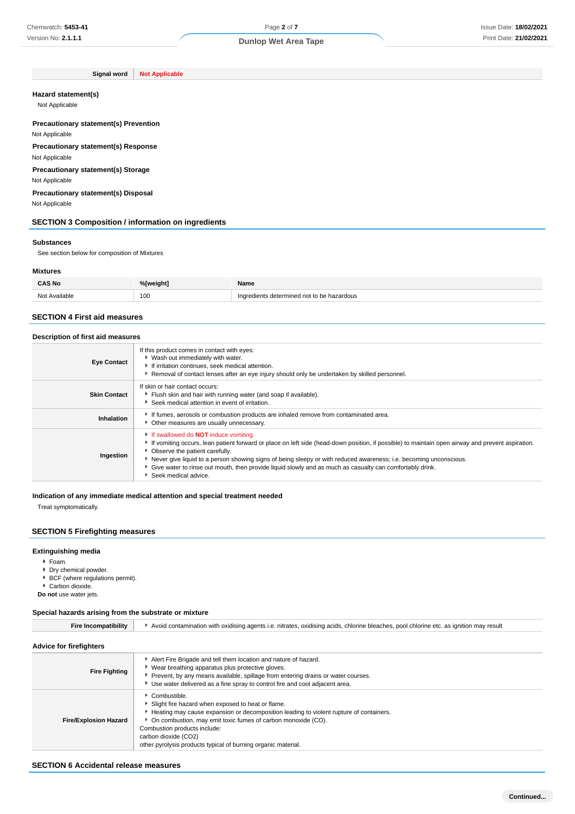**Signal word Not Applicable**

#### **Hazard statement(s)**

Not Applicable

## **Precautionary statement(s) Prevention**

Not Applicable **Precautionary statement(s) Response**

Not Applicable

**Precautionary statement(s) Storage**

Not Applicable

**Precautionary statement(s) Disposal** Not Applicable

## **SECTION 3 Composition / information on ingredients**

#### **Substances**

See section below for composition of Mixtures

### **Mixtures**

| <b>CAS No</b>           | %[weight] | Name                                       |
|-------------------------|-----------|--------------------------------------------|
| Available<br><b>Not</b> | 100       | Ingredients determined not to be hazardous |

## **SECTION 4 First aid measures**

## **Description of first aid measures**

| <b>Eye Contact</b>  | If this product comes in contact with eyes:<br>▶ Wash out immediately with water.<br>If irritation continues, seek medical attention.<br>▶ Removal of contact lenses after an eye injury should only be undertaken by skilled personnel.                                                                                                                                                                                                                                                         |
|---------------------|--------------------------------------------------------------------------------------------------------------------------------------------------------------------------------------------------------------------------------------------------------------------------------------------------------------------------------------------------------------------------------------------------------------------------------------------------------------------------------------------------|
| <b>Skin Contact</b> | If skin or hair contact occurs:<br>Flush skin and hair with running water (and soap if available).<br>Seek medical attention in event of irritation.                                                                                                                                                                                                                                                                                                                                             |
| Inhalation          | If fumes, aerosols or combustion products are inhaled remove from contaminated area.<br>• Other measures are usually unnecessary.                                                                                                                                                                                                                                                                                                                                                                |
| Ingestion           | If swallowed do <b>NOT</b> induce vomiting.<br>If vomiting occurs, lean patient forward or place on left side (head-down position, if possible) to maintain open airway and prevent aspiration.<br>• Observe the patient carefully.<br>Never give liquid to a person showing signs of being sleepy or with reduced awareness; i.e. becoming unconscious.<br>• Give water to rinse out mouth, then provide liquid slowly and as much as casualty can comfortably drink.<br>▶ Seek medical advice. |

### **Indication of any immediate medical attention and special treatment needed**

Treat symptomatically.

## **SECTION 5 Firefighting measures**

## **Extinguishing media**

- Foam.
- Dry chemical powder.
- $\overrightarrow{BCF}$  (where regulations permit).
- Carbon dioxide.

**Do not** use water jets.

#### **Special hazards arising from the substrate or mixture**

| <b>Fire Incompatibility</b>  | Avoid contamination with oxidising agents i.e. nitrates, oxidising acids, chlorine bleaches, pool chlorine etc. as ignition may result                                                                                                                                                                                                               |
|------------------------------|------------------------------------------------------------------------------------------------------------------------------------------------------------------------------------------------------------------------------------------------------------------------------------------------------------------------------------------------------|
| Advice for firefighters      |                                                                                                                                                                                                                                                                                                                                                      |
| <b>Fire Fighting</b>         | Alert Fire Brigade and tell them location and nature of hazard.<br>Wear breathing apparatus plus protective gloves.<br>Prevent, by any means available, spillage from entering drains or water courses.<br>Use water delivered as a fine spray to control fire and cool adjacent area.                                                               |
| <b>Fire/Explosion Hazard</b> | Combustible.<br>Slight fire hazard when exposed to heat or flame.<br>Heating may cause expansion or decomposition leading to violent rupture of containers.<br>On combustion, may emit toxic fumes of carbon monoxide (CO).<br>Combustion products include:<br>carbon dioxide (CO2)<br>other pyrolysis products typical of burning organic material. |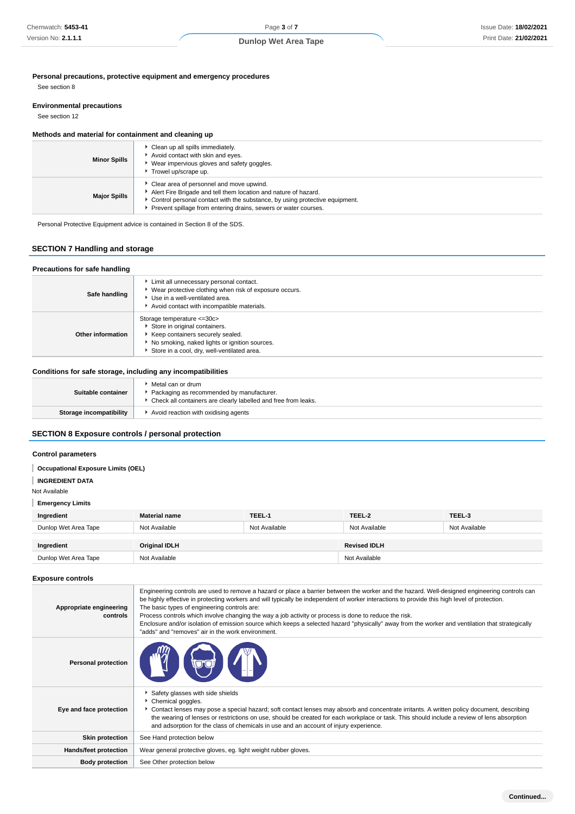## **Personal precautions, protective equipment and emergency procedures**

See section 8

### **Environmental precautions**

See section 12

#### **Methods and material for containment and cleaning up**

| <b>Minor Spills</b> | Clean up all spills immediately.<br>Avoid contact with skin and eyes.<br>Wear impervious gloves and safety goggles.<br>Trowel up/scrape up.                                                                                                                     |
|---------------------|-----------------------------------------------------------------------------------------------------------------------------------------------------------------------------------------------------------------------------------------------------------------|
| <b>Major Spills</b> | Clear area of personnel and move upwind.<br>Alert Fire Brigade and tell them location and nature of hazard.<br>► Control personal contact with the substance, by using protective equipment.<br>Prevent spillage from entering drains, sewers or water courses. |

Personal Protective Equipment advice is contained in Section 8 of the SDS.

## **SECTION 7 Handling and storage**

#### **Precautions for safe handling Safe handling** Limit all unnecessary personal contact. Wear protective clothing when risk of exposure occurs. Use in a well-ventilated area. Avoid contact with incompatible materials. **Other information** Storage temperature <=30c> Store in original containers. Keep containers securely sealed. No smoking, naked lights or ignition sources. Store in a cool, dry, well-ventilated area.

#### **Conditions for safe storage, including any incompatibilities**

| Suitable container             | ▶ Metal can or drum<br>Packaging as recommended by manufacturer.<br>• Check all containers are clearly labelled and free from leaks. |
|--------------------------------|--------------------------------------------------------------------------------------------------------------------------------------|
| <b>Storage incompatibility</b> | Avoid reaction with oxidising agents                                                                                                 |
|                                |                                                                                                                                      |

## **SECTION 8 Exposure controls / personal protection**

### **Control parameters**

## **Occupational Exposure Limits (OEL)**

**INGREDIENT DATA**

Not Available

## **Emergency Limits**

| Ingredient           | <b>Material name</b> | TEEL-1        | TEEL-2              | TEEL-3        |
|----------------------|----------------------|---------------|---------------------|---------------|
| Dunlop Wet Area Tape | Not Available        | Not Available | Not Available       | Not Available |
| Ingredient           | Original IDLH        |               | <b>Revised IDLH</b> |               |
| Dunlop Wet Area Tape | Not Available        |               | Not Available       |               |

### **Exposure controls**

| Appropriate engineering<br>controls | Engineering controls are used to remove a hazard or place a barrier between the worker and the hazard. Well-designed engineering controls can<br>be highly effective in protecting workers and will typically be independent of worker interactions to provide this high level of protection.<br>The basic types of engineering controls are:<br>Process controls which involve changing the way a job activity or process is done to reduce the risk.<br>Enclosure and/or isolation of emission source which keeps a selected hazard "physically" away from the worker and ventilation that strategically<br>"adds" and "removes" air in the work environment. |
|-------------------------------------|-----------------------------------------------------------------------------------------------------------------------------------------------------------------------------------------------------------------------------------------------------------------------------------------------------------------------------------------------------------------------------------------------------------------------------------------------------------------------------------------------------------------------------------------------------------------------------------------------------------------------------------------------------------------|
| <b>Personal protection</b>          |                                                                                                                                                                                                                                                                                                                                                                                                                                                                                                                                                                                                                                                                 |
| Eye and face protection             | Safety glasses with side shields<br>Chemical goggles.<br>▶ Contact lenses may pose a special hazard; soft contact lenses may absorb and concentrate irritants. A written policy document, describing<br>the wearing of lenses or restrictions on use, should be created for each workplace or task. This should include a review of lens absorption<br>and adsorption for the class of chemicals in use and an account of injury experience.                                                                                                                                                                                                                    |
| <b>Skin protection</b>              | See Hand protection below                                                                                                                                                                                                                                                                                                                                                                                                                                                                                                                                                                                                                                       |
| <b>Hands/feet protection</b>        | Wear general protective gloves, eg. light weight rubber gloves.                                                                                                                                                                                                                                                                                                                                                                                                                                                                                                                                                                                                 |
| <b>Body protection</b>              | See Other protection below                                                                                                                                                                                                                                                                                                                                                                                                                                                                                                                                                                                                                                      |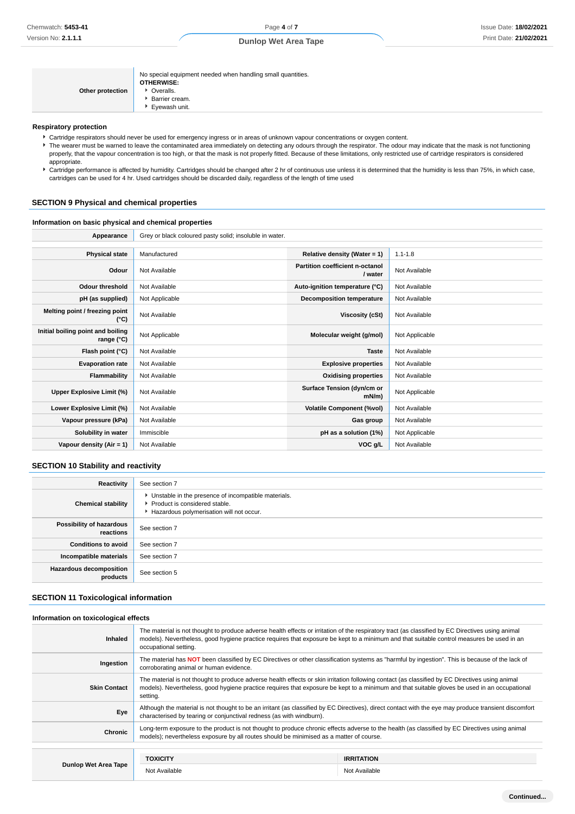| Other protection | No special equipment needed when handling small quantities.<br><b>OTHERWISE:</b><br>• Overalls.<br><b>Barrier cream.</b><br>Eyewash unit. |
|------------------|-------------------------------------------------------------------------------------------------------------------------------------------|
|------------------|-------------------------------------------------------------------------------------------------------------------------------------------|

#### **Respiratory protection**

- Cartridge respirators should never be used for emergency ingress or in areas of unknown vapour concentrations or oxygen content.
- F The wearer must be warned to leave the contaminated area immediately on detecting any odours through the respirator. The odour may indicate that the mask is not functioning properly, that the vapour concentration is too high, or that the mask is not properly fitted. Because of these limitations, only restricted use of cartridge respirators is considered appropriate.
- Cartridge performance is affected by humidity. Cartridges should be changed after 2 hr of continuous use unless it is determined that the humidity is less than 75%, in which case, cartridges can be used for 4 hr. Used cartridges should be discarded daily, regardless of the length of time used

### **SECTION 9 Physical and chemical properties**

### **Information on basic physical and chemical properties**

| Appearance                                      | Grey or black coloured pasty solid; insoluble in water. |                                            |                |
|-------------------------------------------------|---------------------------------------------------------|--------------------------------------------|----------------|
|                                                 |                                                         |                                            |                |
| <b>Physical state</b>                           | Manufactured                                            | Relative density (Water = 1)               | $1.1 - 1.8$    |
| Odour                                           | Not Available                                           | Partition coefficient n-octanol<br>/ water | Not Available  |
| <b>Odour threshold</b>                          | Not Available                                           | Auto-ignition temperature (°C)             | Not Available  |
| pH (as supplied)                                | Not Applicable                                          | <b>Decomposition temperature</b>           | Not Available  |
| Melting point / freezing point<br>(°C)          | Not Available                                           | Viscosity (cSt)                            | Not Available  |
| Initial boiling point and boiling<br>range (°C) | Not Applicable                                          | Molecular weight (g/mol)                   | Not Applicable |
| Flash point (°C)                                | Not Available                                           | <b>Taste</b>                               | Not Available  |
| <b>Evaporation rate</b>                         | Not Available                                           | <b>Explosive properties</b>                | Not Available  |
| Flammability                                    | Not Available                                           | <b>Oxidising properties</b>                | Not Available  |
| Upper Explosive Limit (%)                       | Not Available                                           | Surface Tension (dyn/cm or<br>$mN/m$ )     | Not Applicable |
| Lower Explosive Limit (%)                       | Not Available                                           | <b>Volatile Component (%vol)</b>           | Not Available  |
| Vapour pressure (kPa)                           | Not Available                                           | Gas group                                  | Not Available  |
| Solubility in water                             | Immiscible                                              | pH as a solution (1%)                      | Not Applicable |
| Vapour density (Air = 1)                        | Not Available                                           | VOC g/L                                    | Not Available  |

### **SECTION 10 Stability and reactivity**

| Reactivity                            | See section 7                                                                                                                        |
|---------------------------------------|--------------------------------------------------------------------------------------------------------------------------------------|
| <b>Chemical stability</b>             | • Unstable in the presence of incompatible materials.<br>▶ Product is considered stable.<br>Hazardous polymerisation will not occur. |
| Possibility of hazardous<br>reactions | See section 7                                                                                                                        |
| <b>Conditions to avoid</b>            | See section 7                                                                                                                        |
| Incompatible materials                | See section 7                                                                                                                        |
| Hazardous decomposition<br>products   | See section 5                                                                                                                        |

## **SECTION 11 Toxicological information**

### **Information on toxicological effects Inhaled** The material is not thought to produce adverse health effects or irritation of the respiratory tract (as classified by EC Directives using animal models). Nevertheless, good hygiene practice requires that exposure be kept to a minimum and that suitable control measures be used in an occupational setting. **Ingestion** The material has **NOT** been classified by EC Directives or other classification systems as "harmful by ingestion". This is because of the lack of corroborating animal or human evidence. **Skin Contact** The material is not thought to produce adverse health effects or skin irritation following contact (as classified by EC Directives using animal models). Nevertheless, good hygiene practice requires that exposure be kept to a minimum and that suitable gloves be used in an occupational setting. **Eve** Although the material is not thought to be an irritant (as classified by EC Directives), direct contact with the eye may produce transient discomfort characterised by tearing or conjunctival redness (as with windburn). **Chronic** Long-term exposure to the product is not thought to produce chronic effects adverse to the health (as classified by EC Directives using animal<br> **Chronic** models); nevertheless exposure by all routes should be minimised as a matter of course. **Dunlop Wet Area Tape TOXICITY IRRITATION** Not Available Not Available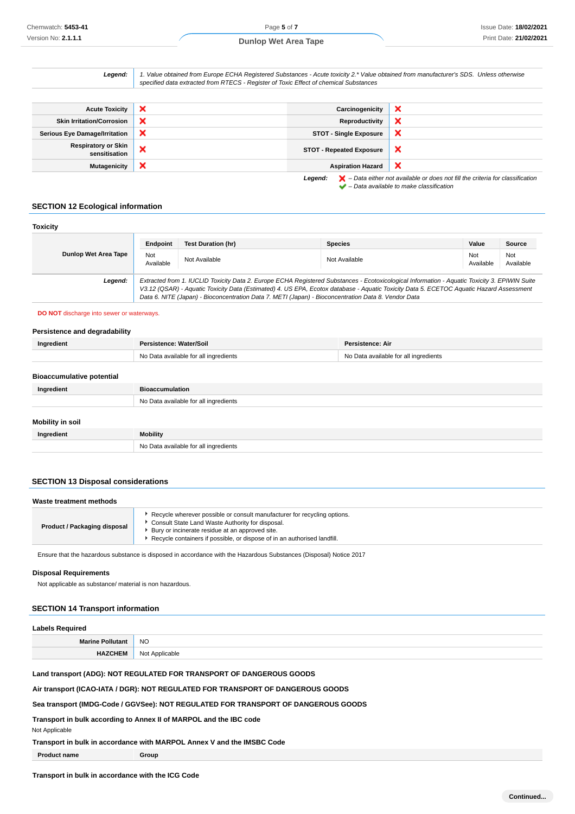| Legend:                                     | 1. Value obtained from Europe ECHA Registered Substances - Acute toxicity 2.* Value obtained from manufacturer's SDS. Unless otherwise<br>specified data extracted from RTECS - Register of Toxic Effect of chemical Substances |                                 |                                                                                                                                                                     |
|---------------------------------------------|---------------------------------------------------------------------------------------------------------------------------------------------------------------------------------------------------------------------------------|---------------------------------|---------------------------------------------------------------------------------------------------------------------------------------------------------------------|
|                                             |                                                                                                                                                                                                                                 |                                 |                                                                                                                                                                     |
| <b>Acute Toxicity</b>                       | ×                                                                                                                                                                                                                               | Carcinogenicity                 | ×                                                                                                                                                                   |
| <b>Skin Irritation/Corrosion</b>            | ×                                                                                                                                                                                                                               | Reproductivity                  | ×                                                                                                                                                                   |
| <b>Serious Eye Damage/Irritation</b>        | ×                                                                                                                                                                                                                               | <b>STOT - Single Exposure</b>   | ×                                                                                                                                                                   |
| <b>Respiratory or Skin</b><br>sensitisation | ×                                                                                                                                                                                                                               | <b>STOT - Repeated Exposure</b> | ×                                                                                                                                                                   |
| <b>Mutagenicity</b>                         | ×                                                                                                                                                                                                                               | <b>Aspiration Hazard</b>        | ×                                                                                                                                                                   |
|                                             |                                                                                                                                                                                                                                 | Legend:                         | $\blacktriangleright$ - Data either not available or does not fill the criteria for classification<br>$\blacktriangleright$ - Data available to make classification |

## **SECTION 12 Ecological information**

| <b>Toxicity</b>      |                  |                                                                                                     |                                                                                                                                                                                                                                                                                          |                  |                  |
|----------------------|------------------|-----------------------------------------------------------------------------------------------------|------------------------------------------------------------------------------------------------------------------------------------------------------------------------------------------------------------------------------------------------------------------------------------------|------------------|------------------|
|                      | Endpoint         | <b>Test Duration (hr)</b>                                                                           | <b>Species</b>                                                                                                                                                                                                                                                                           | Value            | Source           |
| Dunlop Wet Area Tape | Not<br>Available | Not Available                                                                                       | Not Available                                                                                                                                                                                                                                                                            | Not<br>Available | Not<br>Available |
| Legend:              |                  | Data 6. NITE (Japan) - Bioconcentration Data 7. METI (Japan) - Bioconcentration Data 8. Vendor Data | Extracted from 1. IUCLID Toxicity Data 2. Europe ECHA Registered Substances - Ecotoxicological Information - Aquatic Toxicity 3. EPIWIN Suite<br>V3.12 (QSAR) - Aquatic Toxicity Data (Estimated) 4. US EPA, Ecotox database - Aquatic Toxicity Data 5. ECETOC Aquatic Hazard Assessment |                  |                  |

#### **DO NOT** discharge into sewer or waterways.

#### **Persistence and degradability**

| Ingredient                       | Persistence: Water/Soil               | Persistence: Air                      |
|----------------------------------|---------------------------------------|---------------------------------------|
|                                  | No Data available for all ingredients | No Data available for all ingredients |
|                                  |                                       |                                       |
| <b>Bioaccumulative potential</b> |                                       |                                       |
| Ingredient                       | <b>Bioaccumulation</b>                |                                       |
|                                  | No Data available for all ingredients |                                       |
|                                  |                                       |                                       |
| <b>Mobility in soil</b>          |                                       |                                       |
| Ingredient                       | <b>Mobility</b>                       |                                       |
|                                  | No Data available for all ingredients |                                       |

## **SECTION 13 Disposal considerations**

| Recycle wherever possible or consult manufacturer for recycling options.                                                                                           | Waste treatment methods |                                                  |  |
|--------------------------------------------------------------------------------------------------------------------------------------------------------------------|-------------------------|--------------------------------------------------|--|
| <b>Product / Packaging disposal</b><br>Bury or incinerate residue at an approved site.<br>Recycle containers if possible, or dispose of in an authorised landfill. |                         | Consult State Land Waste Authority for disposal. |  |

Ensure that the hazardous substance is disposed in accordance with the Hazardous Substances (Disposal) Notice 2017

### **Disposal Requirements**

Not applicable as substance/ material is non hazardous.

## **SECTION 14 Transport information**

| Labels Required         |                |
|-------------------------|----------------|
| <b>Marine Pollutant</b> | <b>NO</b>      |
| <b>HAZCHEM</b>          | Not Applicable |

## **Land transport (ADG): NOT REGULATED FOR TRANSPORT OF DANGEROUS GOODS**

**Air transport (ICAO-IATA / DGR): NOT REGULATED FOR TRANSPORT OF DANGEROUS GOODS**

## **Sea transport (IMDG-Code / GGVSee): NOT REGULATED FOR TRANSPORT OF DANGEROUS GOODS**

**Transport in bulk according to Annex II of MARPOL and the IBC code**

Not Applicable

### **Transport in bulk in accordance with MARPOL Annex V and the IMSBC Code**

**Product name Group**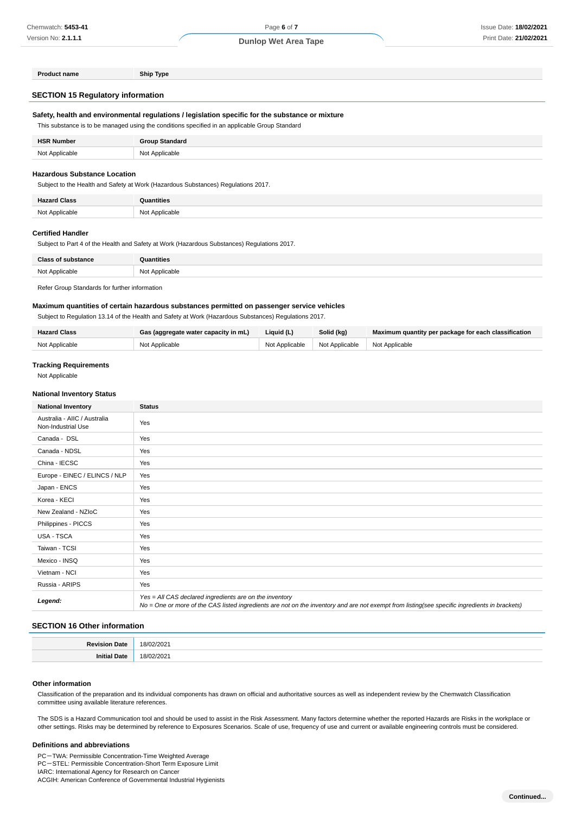| <b>Product name</b>                                                                              | Ship Type |
|--------------------------------------------------------------------------------------------------|-----------|
| <b>SECTION 15 Regulatory information</b>                                                         |           |
|                                                                                                  |           |
| Safety, health and environmental regulations / legislation specific for the substance or mixture |           |
| This substance is to be managed using the conditions specified in an applicable Group Standard   |           |

| <b>HSR Number</b> | <b>Group Standard</b> |
|-------------------|-----------------------|
| Not Applicable    | Not Applicable        |

## **Hazardous Substance Location**

Subject to the Health and Safety at Work (Hazardous Substances) Regulations 2017.

| <b>Hazard Class</b> | ี<br>Quantities |
|---------------------|-----------------|
| Not Applicable<br>. | Not Applicable  |

#### **Certified Handler**

Subject to Part 4 of the Health and Safety at Work (Hazardous Substances) Regulations 2017.

| <b>Class of substance</b> | <b>Quantities</b> |
|---------------------------|-------------------|
| Not Applicable            | Not Applicable    |
|                           |                   |

Refer Group Standards for further information

### **Maximum quantities of certain hazardous substances permitted on passenger service vehicles**

Subject to Regulation 13.14 of the Health and Safety at Work (Hazardous Substances) Regulations 2017.

| <b>Hazard Class</b> | Gas (aggregate water capacity in mL) | Liquid (L)     | Solid (kg)                    | Maximum quantity per package for each classification |
|---------------------|--------------------------------------|----------------|-------------------------------|------------------------------------------------------|
| Not Applicable      | Not Applicable                       | Not Applicable | Not Applicable Not Applicable |                                                      |

## **Tracking Requirements**

Not Applicable

#### **National Inventory Status**

| <b>National Inventory</b>                          | <b>Status</b>                                                                                                                                                                                            |
|----------------------------------------------------|----------------------------------------------------------------------------------------------------------------------------------------------------------------------------------------------------------|
| Australia - AIIC / Australia<br>Non-Industrial Use | Yes                                                                                                                                                                                                      |
| Canada - DSL                                       | Yes                                                                                                                                                                                                      |
| Canada - NDSL                                      | Yes                                                                                                                                                                                                      |
| China - IECSC                                      | Yes                                                                                                                                                                                                      |
| Europe - EINEC / ELINCS / NLP                      | Yes                                                                                                                                                                                                      |
| Japan - ENCS                                       | Yes                                                                                                                                                                                                      |
| Korea - KECI                                       | Yes                                                                                                                                                                                                      |
| New Zealand - NZIoC                                | Yes                                                                                                                                                                                                      |
| Philippines - PICCS                                | Yes                                                                                                                                                                                                      |
| USA - TSCA                                         | Yes                                                                                                                                                                                                      |
| Taiwan - TCSI                                      | Yes                                                                                                                                                                                                      |
| Mexico - INSQ                                      | Yes                                                                                                                                                                                                      |
| Vietnam - NCI                                      | Yes                                                                                                                                                                                                      |
| Russia - ARIPS                                     | Yes                                                                                                                                                                                                      |
| Legend:                                            | Yes = All CAS declared ingredients are on the inventory<br>No = One or more of the CAS listed ingredients are not on the inventory and are not exempt from listing(see specific ingredients in brackets) |

#### **SECTION 16 Other information**

| D <sub>o</sub><br>'iate | 18/02/2021                |
|-------------------------|---------------------------|
| ' Date                  | 02/2021<br>18/<br>_______ |

### **Other information**

Classification of the preparation and its individual components has drawn on official and authoritative sources as well as independent review by the Chemwatch Classification committee using available literature references.

The SDS is a Hazard Communication tool and should be used to assist in the Risk Assessment. Many factors determine whether the reported Hazards are Risks in the workplace or other settings. Risks may be determined by reference to Exposures Scenarios. Scale of use, frequency of use and current or available engineering controls must be considered.

## **Definitions and abbreviations**

PC-TWA: Permissible Concentration-Time Weighted Average PC-STEL: Permissible Concentration-Short Term Exposure Limit IARC: International Agency for Research on Cancer ACGIH: American Conference of Governmental Industrial Hygienists